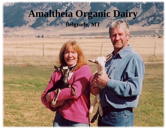## **Amaltheia Organic Dairy Belgrade, MT**

.